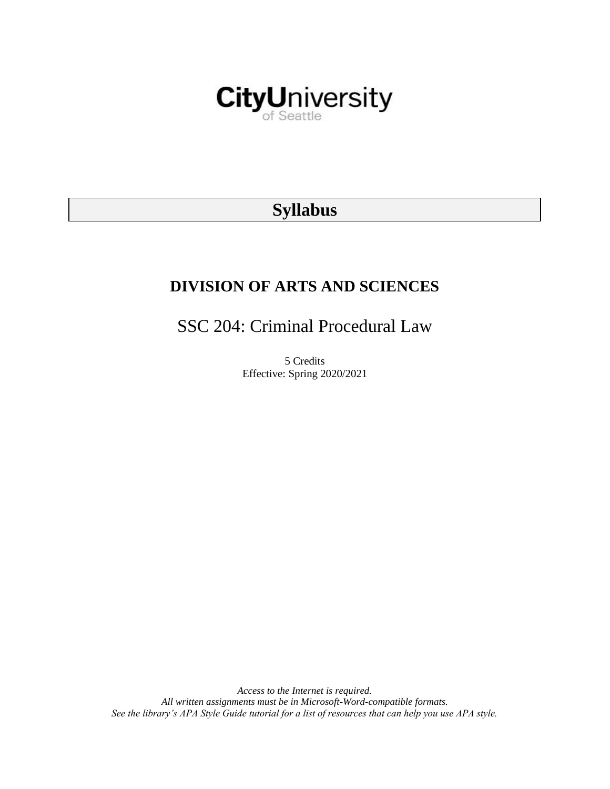

# **Syllabus**

# **DIVISION OF ARTS AND SCIENCES**

SSC 204: Criminal Procedural Law

5 Credits Effective: Spring 2020/2021

*Access to the Internet is required. All written assignments must be in Microsoft-Word-compatible formats. See the library's APA Style Guide tutorial for a list of resources that can help you use APA style.*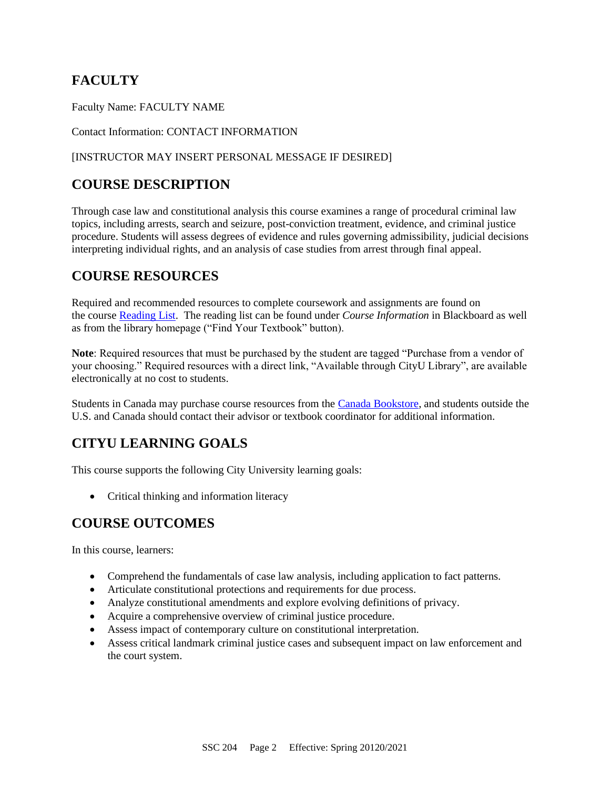# **FACULTY**

Faculty Name: FACULTY NAME

Contact Information: CONTACT INFORMATION

### [INSTRUCTOR MAY INSERT PERSONAL MESSAGE IF DESIRED]

## **COURSE DESCRIPTION**

Through case law and constitutional analysis this course examines a range of procedural criminal law topics, including arrests, search and seizure, post-conviction treatment, evidence, and criminal justice procedure. Students will assess degrees of evidence and rules governing admissibility, judicial decisions interpreting individual rights, and an analysis of case studies from arrest through final appeal.

## **COURSE RESOURCES**

Required and recommended resources to complete coursework and assignments are found on the course [Reading List.](https://cityu.alma.exlibrisgroup.com/leganto/login?auth=SAML) The reading list can be found under *Course Information* in Blackboard as well as from the library homepage ("Find Your Textbook" button).

**Note**: Required resources that must be purchased by the student are tagged "Purchase from a vendor of your choosing." Required resources with a direct link, "Available through CityU Library", are available electronically at no cost to students.

Students in Canada may purchase course resources from the [Canada Bookstore,](https://www.cityubookstore.ca/index.asp) and students outside the U.S. and Canada should contact their advisor or textbook coordinator for additional information.

## **CITYU LEARNING GOALS**

This course supports the following City University learning goals:

• Critical thinking and information literacy

## **COURSE OUTCOMES**

In this course, learners:

- Comprehend the fundamentals of case law analysis, including application to fact patterns.
- Articulate constitutional protections and requirements for due process.
- Analyze constitutional amendments and explore evolving definitions of privacy.
- Acquire a comprehensive overview of criminal justice procedure.
- Assess impact of contemporary culture on constitutional interpretation.
- Assess critical landmark criminal justice cases and subsequent impact on law enforcement and the court system.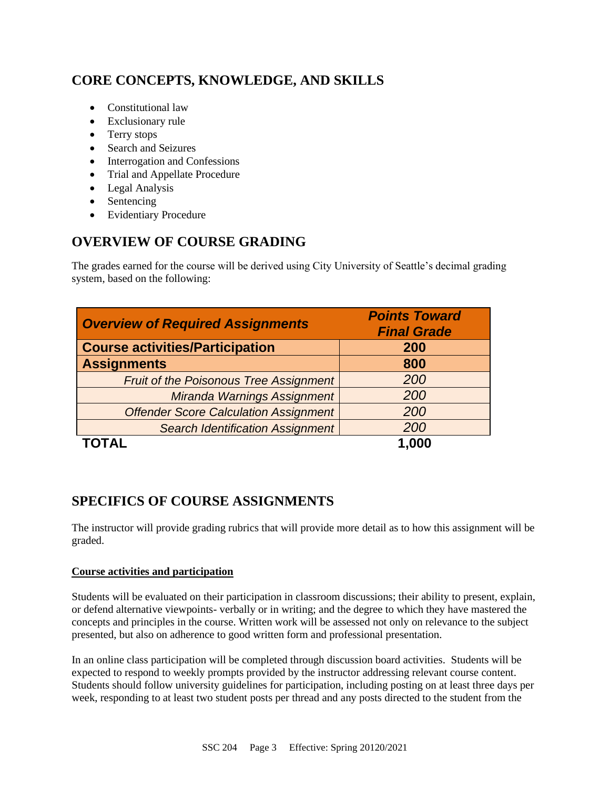# **CORE CONCEPTS, KNOWLEDGE, AND SKILLS**

- Constitutional law
- Exclusionary rule
- Terry stops
- Search and Seizures
- Interrogation and Confessions
- Trial and Appellate Procedure
- Legal Analysis
- Sentencing
- Evidentiary Procedure

# **OVERVIEW OF COURSE GRADING**

The grades earned for the course will be derived using City University of Seattle's decimal grading system, based on the following:

| <b>Overview of Required Assignments</b>       | <b>Points Toward</b><br><b>Final Grade</b> |
|-----------------------------------------------|--------------------------------------------|
| <b>Course activities/Participation</b>        | 200                                        |
| <b>Assignments</b>                            | 800                                        |
| <b>Fruit of the Poisonous Tree Assignment</b> | 200                                        |
| Miranda Warnings Assignment                   | 200                                        |
| <b>Offender Score Calculation Assignment</b>  | 200                                        |
| <b>Search Identification Assignment</b>       | 200                                        |
|                                               | 1.000                                      |

## **SPECIFICS OF COURSE ASSIGNMENTS**

The instructor will provide grading rubrics that will provide more detail as to how this assignment will be graded.

### **Course activities and participation**

Students will be evaluated on their participation in classroom discussions; their ability to present, explain, or defend alternative viewpoints- verbally or in writing; and the degree to which they have mastered the concepts and principles in the course. Written work will be assessed not only on relevance to the subject presented, but also on adherence to good written form and professional presentation.

In an online class participation will be completed through discussion board activities. Students will be expected to respond to weekly prompts provided by the instructor addressing relevant course content. Students should follow university guidelines for participation, including posting on at least three days per week, responding to at least two student posts per thread and any posts directed to the student from the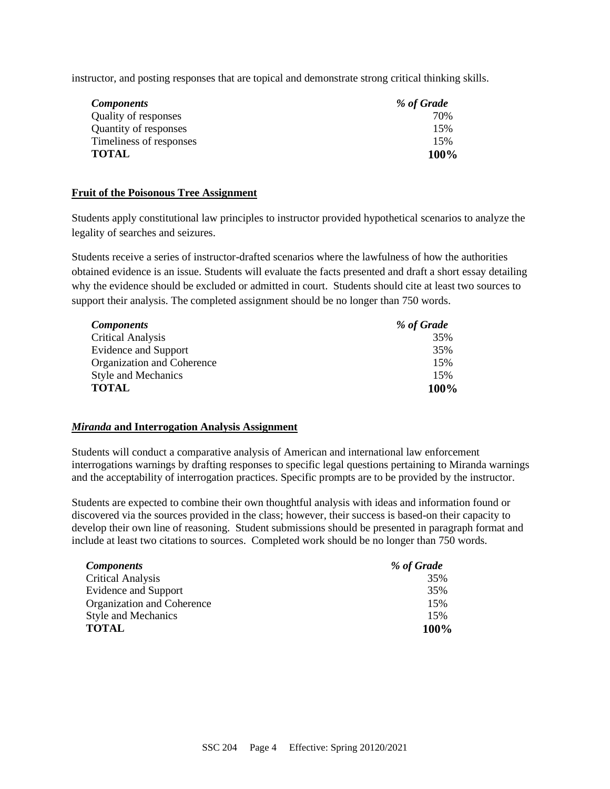instructor, and posting responses that are topical and demonstrate strong critical thinking skills.

| <b>Components</b>       | % of Grade |
|-------------------------|------------|
| Quality of responses    | 70%        |
| Quantity of responses   | 15%        |
| Timeliness of responses | 15%        |
| <b>TOTAL</b>            | 100%       |

#### **Fruit of the Poisonous Tree Assignment**

Students apply constitutional law principles to instructor provided hypothetical scenarios to analyze the legality of searches and seizures.

Students receive a series of instructor-drafted scenarios where the lawfulness of how the authorities obtained evidence is an issue. Students will evaluate the facts presented and draft a short essay detailing why the evidence should be excluded or admitted in court. Students should cite at least two sources to support their analysis. The completed assignment should be no longer than 750 words.

| <b>Components</b>          | % of Grade |
|----------------------------|------------|
| <b>Critical Analysis</b>   | 35%        |
| Evidence and Support       | 35%        |
| Organization and Coherence | 15%        |
| <b>Style and Mechanics</b> | 15%        |
| <b>TOTAL</b>               | 100%       |

#### *Miranda* **and Interrogation Analysis Assignment**

Students will conduct a comparative analysis of American and international law enforcement interrogations warnings by drafting responses to specific legal questions pertaining to Miranda warnings and the acceptability of interrogation practices. Specific prompts are to be provided by the instructor.

Students are expected to combine their own thoughtful analysis with ideas and information found or discovered via the sources provided in the class; however, their success is based-on their capacity to develop their own line of reasoning. Student submissions should be presented in paragraph format and include at least two citations to sources. Completed work should be no longer than 750 words.

| <b>Components</b>          | % of Grade |
|----------------------------|------------|
| <b>Critical Analysis</b>   | 35%        |
| Evidence and Support       | 35%        |
| Organization and Coherence | 15%        |
| <b>Style and Mechanics</b> | 15%        |
| <b>TOTAL</b>               | 100%       |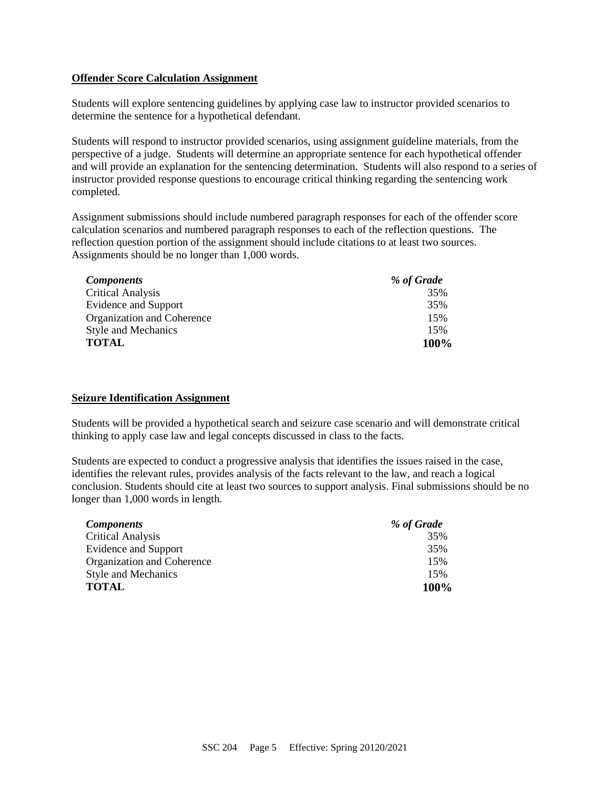#### **Offender Score Calculation Assignment**

Students will explore sentencing guidelines by applying case law to instructor provided scenarios to determine the sentence for a hypothetical defendant.

Students will respond to instructor provided scenarios, using assignment guideline materials, from the perspective of a judge. Students will determine an appropriate sentence for each hypothetical offender and will provide an explanation for the sentencing determination. Students will also respond to a series of instructor provided response questions to encourage critical thinking regarding the sentencing work completed.

Assignment submissions should include numbered paragraph responses for each of the offender score calculation scenarios and numbered paragraph responses to each of the reflection questions. The reflection question portion of the assignment should include citations to at least two sources. Assignments should be no longer than 1,000 words.

| <b>Components</b>           | % of Grade |
|-----------------------------|------------|
| <b>Critical Analysis</b>    | 35%        |
| <b>Evidence and Support</b> | 35%        |
| Organization and Coherence  | 15%        |
| <b>Style and Mechanics</b>  | 15%        |
| <b>TOTAL</b>                | 100%       |

#### **Seizure Identification Assignment**

Students will be provided a hypothetical search and seizure case scenario and will demonstrate critical thinking to apply case law and legal concepts discussed in class to the facts.

Students are expected to conduct a progressive analysis that identifies the issues raised in the case, identifies the relevant rules, provides analysis of the facts relevant to the law, and reach a logical conclusion. Students should cite at least two sources to support analysis. Final submissions should be no longer than 1,000 words in length.

| <i>Components</i>          | % of Grade |
|----------------------------|------------|
| Critical Analysis          | 35%        |
| Evidence and Support       | 35%        |
| Organization and Coherence | 15%        |
| <b>Style and Mechanics</b> | 15%        |
| <b>TOTAL</b>               | 100%       |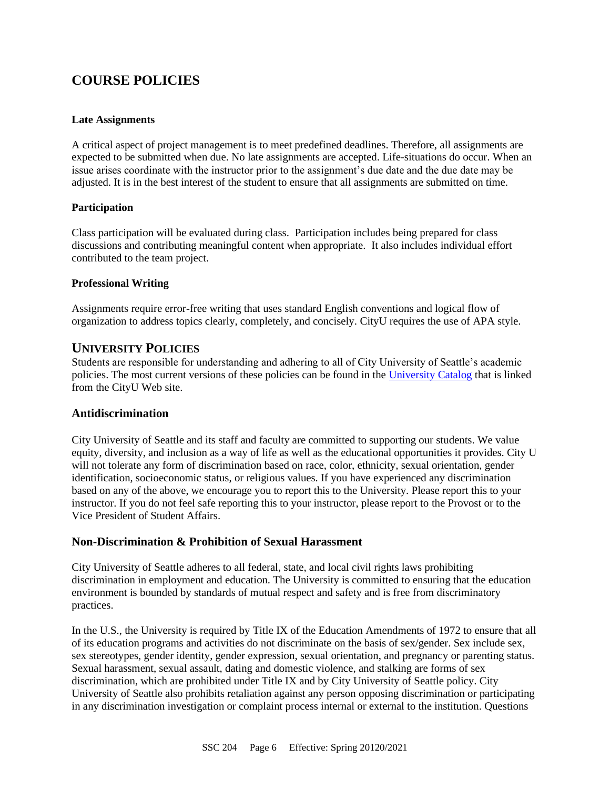# **COURSE POLICIES**

### **Late Assignments**

A critical aspect of project management is to meet predefined deadlines. Therefore, all assignments are expected to be submitted when due. No late assignments are accepted. Life-situations do occur. When an issue arises coordinate with the instructor prior to the assignment's due date and the due date may be adjusted. It is in the best interest of the student to ensure that all assignments are submitted on time.

### **Participation**

Class participation will be evaluated during class. Participation includes being prepared for class discussions and contributing meaningful content when appropriate. It also includes individual effort contributed to the team project.

### **Professional Writing**

Assignments require error-free writing that uses standard English conventions and logical flow of organization to address topics clearly, completely, and concisely. CityU requires the use of APA style.

### **UNIVERSITY POLICIES**

Students are responsible for understanding and adhering to all of City University of Seattle's academic policies. The most current versions of these policies can be found in the [University Catalog](http://www.cityu.edu/catalog/) that is linked from the CityU Web site.

### **Antidiscrimination**

City University of Seattle and its staff and faculty are committed to supporting our students. We value equity, diversity, and inclusion as a way of life as well as the educational opportunities it provides. City U will not tolerate any form of discrimination based on race, color, ethnicity, sexual orientation, gender identification, socioeconomic status, or religious values. If you have experienced any discrimination based on any of the above, we encourage you to report this to the University. Please report this to your instructor. If you do not feel safe reporting this to your instructor, please report to the Provost or to the Vice President of Student Affairs.

### **Non-Discrimination & Prohibition of Sexual Harassment**

City University of Seattle adheres to all federal, state, and local civil rights laws prohibiting discrimination in employment and education. The University is committed to ensuring that the education environment is bounded by standards of mutual respect and safety and is free from discriminatory practices.

In the U.S., the University is required by Title IX of the Education Amendments of 1972 to ensure that all of its education programs and activities do not discriminate on the basis of sex/gender. Sex include sex, sex stereotypes, gender identity, gender expression, sexual orientation, and pregnancy or parenting status. Sexual harassment, sexual assault, dating and domestic violence, and stalking are forms of sex discrimination, which are prohibited under Title IX and by City University of Seattle policy. City University of Seattle also prohibits retaliation against any person opposing discrimination or participating in any discrimination investigation or complaint process internal or external to the institution. Questions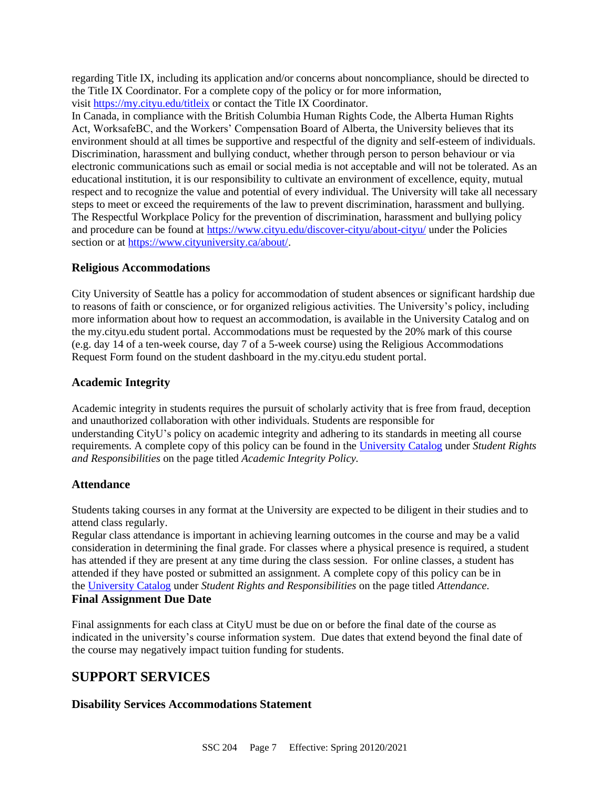regarding Title IX, including its application and/or concerns about noncompliance, should be directed to the Title IX Coordinator. For a complete copy of the policy or for more information, visit <https://my.cityu.edu/titleix> or contact the Title IX Coordinator.

In Canada, in compliance with the British Columbia Human Rights Code, the Alberta Human Rights Act, WorksafeBC, and the Workers' Compensation Board of Alberta, the University believes that its environment should at all times be supportive and respectful of the dignity and self-esteem of individuals. Discrimination, harassment and bullying conduct, whether through person to person behaviour or via electronic communications such as email or social media is not acceptable and will not be tolerated. As an educational institution, it is our responsibility to cultivate an environment of excellence, equity, mutual respect and to recognize the value and potential of every individual. The University will take all necessary steps to meet or exceed the requirements of the law to prevent discrimination, harassment and bullying. The Respectful Workplace Policy for the prevention of discrimination, harassment and bullying policy and procedure can be found at <https://www.cityu.edu/discover-cityu/about-cityu/> under the Policies section or at [https://www.cityuniversity.ca/about/.](https://www.cityuniversity.ca/about/)

### **Religious Accommodations**

City University of Seattle has a policy for accommodation of student absences or significant hardship due to reasons of faith or conscience, or for organized religious activities. The University's policy, including more information about how to request an accommodation, is available in the University Catalog and on the my.cityu.edu student portal. Accommodations must be requested by the 20% mark of this course (e.g. day 14 of a ten-week course, day 7 of a 5-week course) using the Religious Accommodations Request Form found on the student dashboard in the my.cityu.edu student portal.

### **Academic Integrity**

Academic integrity in students requires the pursuit of scholarly activity that is free from fraud, deception and unauthorized collaboration with other individuals. Students are responsible for understanding CityU's policy on academic integrity and adhering to its standards in meeting all course requirements. A complete copy of this policy can be found in the [University Catalog](http://www.cityu.edu/catalog/) under *Student Rights and Responsibilities* on the page titled *Academic Integrity Policy.*

### **Attendance**

Students taking courses in any format at the University are expected to be diligent in their studies and to attend class regularly.

Regular class attendance is important in achieving learning outcomes in the course and may be a valid consideration in determining the final grade. For classes where a physical presence is required, a student has attended if they are present at any time during the class session. For online classes, a student has attended if they have posted or submitted an assignment. A complete copy of this policy can be in the [University Catalog](http://www.cityu.edu/catalog/) under *Student Rights and Responsibilities* on the page titled *Attendance.* **Final Assignment Due Date**

Final assignments for each class at CityU must be due on or before the final date of the course as indicated in the university's course information system. Due dates that extend beyond the final date of the course may negatively impact tuition funding for students.

### **SUPPORT SERVICES**

### **Disability Services Accommodations Statement**